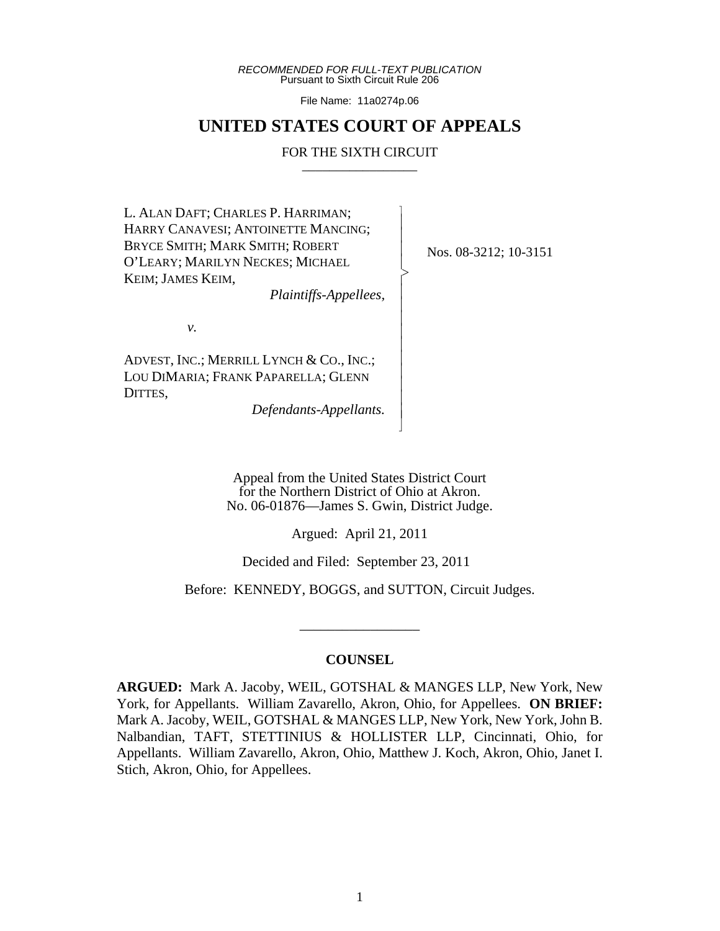*RECOMMENDED FOR FULL-TEXT PUBLICATION* Pursuant to Sixth Circuit Rule 206

File Name: 11a0274p.06

## **UNITED STATES COURT OF APPEALS**

## FOR THE SIXTH CIRCUIT

 $\overline{\phantom{a}}$ - - - > , - - - - - - - - - - N

L. ALAN DAFT; CHARLES P. HARRIMAN; HARRY CANAVESI; ANTOINETTE MANCING; BRYCE SMITH; MARK SMITH; ROBERT O'LEARY; MARILYN NECKES; MICHAEL KEIM; JAMES KEIM,

*Plaintiffs-Appellees,*

*v.*

ADVEST, INC.; MERRILL LYNCH & CO., INC.; LOU DIMARIA; FRANK PAPARELLA; GLENN DITTES,

*Defendants-Appellants.*

Nos. 08-3212; 10-3151

Appeal from the United States District Court for the Northern District of Ohio at Akron. No. 06-01876—James S. Gwin, District Judge.

Argued: April 21, 2011

Decided and Filed: September 23, 2011

Before: KENNEDY, BOGGS, and SUTTON, Circuit Judges.

\_\_\_\_\_\_\_\_\_\_\_\_\_\_\_\_\_

## **COUNSEL**

**ARGUED:** Mark A. Jacoby, WEIL, GOTSHAL & MANGES LLP, New York, New York, for Appellants. William Zavarello, Akron, Ohio, for Appellees. **ON BRIEF:** Mark A. Jacoby, WEIL, GOTSHAL & MANGES LLP, New York, New York, John B. Nalbandian, TAFT, STETTINIUS & HOLLISTER LLP, Cincinnati, Ohio, for Appellants. William Zavarello, Akron, Ohio, Matthew J. Koch, Akron, Ohio, Janet I. Stich, Akron, Ohio, for Appellees.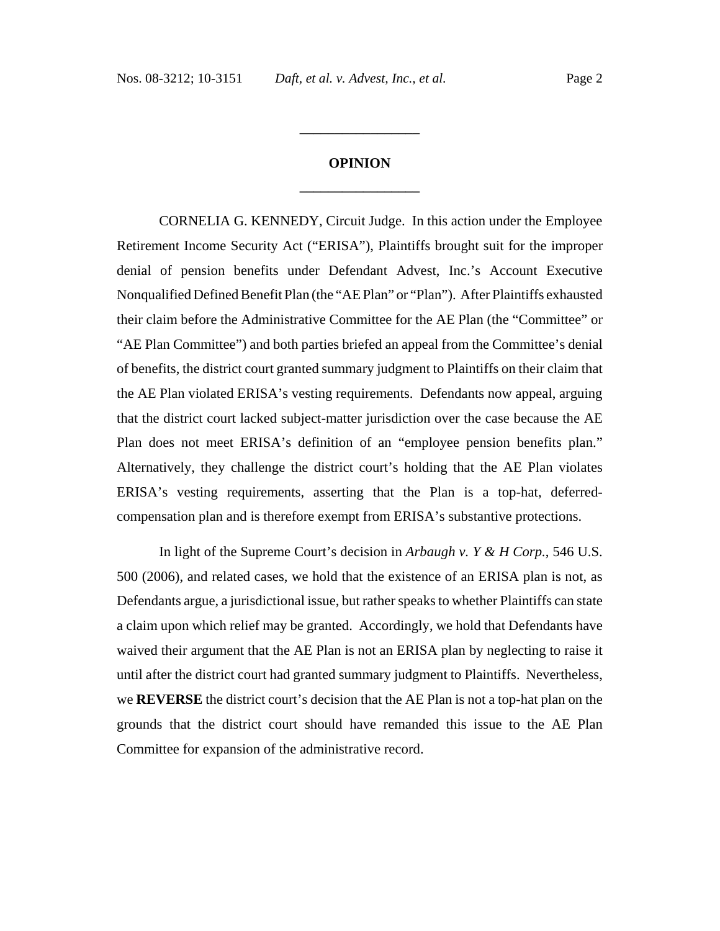# **OPINION \_\_\_\_\_\_\_\_\_\_\_\_\_\_\_\_\_**

**\_\_\_\_\_\_\_\_\_\_\_\_\_\_\_\_\_**

CORNELIA G. KENNEDY, Circuit Judge. In this action under the Employee Retirement Income Security Act ("ERISA"), Plaintiffs brought suit for the improper denial of pension benefits under Defendant Advest, Inc.'s Account Executive Nonqualified Defined Benefit Plan (the "AE Plan" or "Plan"). After Plaintiffs exhausted their claim before the Administrative Committee for the AE Plan (the "Committee" or "AE Plan Committee") and both parties briefed an appeal from the Committee's denial of benefits, the district court granted summary judgment to Plaintiffs on their claim that the AE Plan violated ERISA's vesting requirements. Defendants now appeal, arguing that the district court lacked subject-matter jurisdiction over the case because the AE Plan does not meet ERISA's definition of an "employee pension benefits plan." Alternatively, they challenge the district court's holding that the AE Plan violates ERISA's vesting requirements, asserting that the Plan is a top-hat, deferredcompensation plan and is therefore exempt from ERISA's substantive protections.

In light of the Supreme Court's decision in *Arbaugh v. Y & H Corp.*, 546 U.S. 500 (2006), and related cases, we hold that the existence of an ERISA plan is not, as Defendants argue, a jurisdictional issue, but rather speaks to whether Plaintiffs can state a claim upon which relief may be granted. Accordingly, we hold that Defendants have waived their argument that the AE Plan is not an ERISA plan by neglecting to raise it until after the district court had granted summary judgment to Plaintiffs. Nevertheless, we **REVERSE** the district court's decision that the AE Plan is not a top-hat plan on the grounds that the district court should have remanded this issue to the AE Plan Committee for expansion of the administrative record.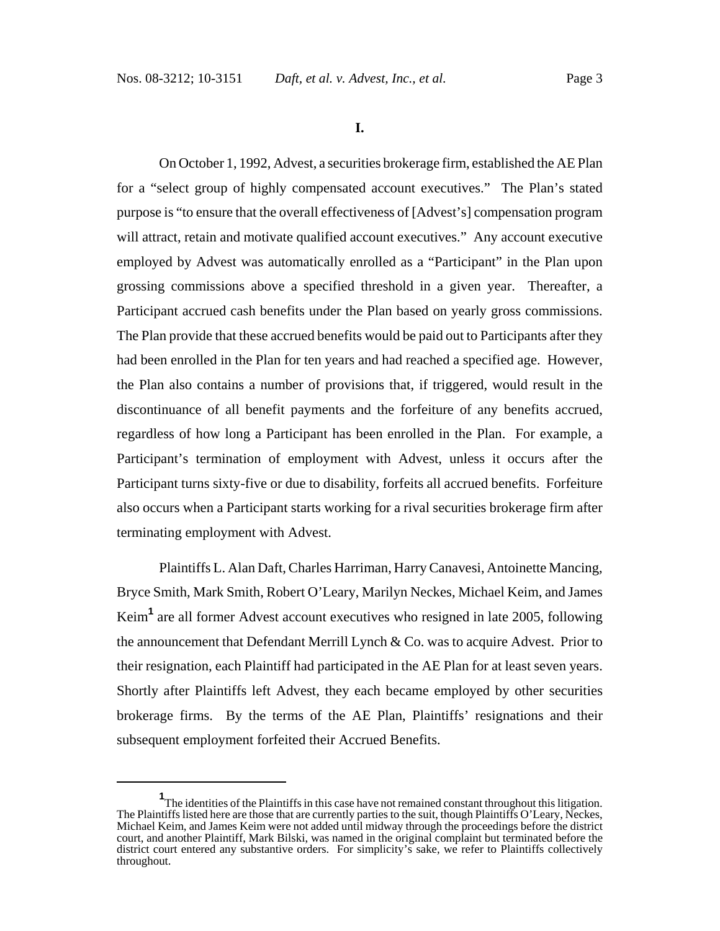**I.**

On October 1, 1992, Advest, a securities brokerage firm, established the AE Plan for a "select group of highly compensated account executives." The Plan's stated purpose is "to ensure that the overall effectiveness of [Advest's] compensation program will attract, retain and motivate qualified account executives." Any account executive employed by Advest was automatically enrolled as a "Participant" in the Plan upon grossing commissions above a specified threshold in a given year. Thereafter, a Participant accrued cash benefits under the Plan based on yearly gross commissions. The Plan provide that these accrued benefits would be paid out to Participants after they had been enrolled in the Plan for ten years and had reached a specified age. However, the Plan also contains a number of provisions that, if triggered, would result in the discontinuance of all benefit payments and the forfeiture of any benefits accrued, regardless of how long a Participant has been enrolled in the Plan. For example, a Participant's termination of employment with Advest, unless it occurs after the Participant turns sixty-five or due to disability, forfeits all accrued benefits. Forfeiture also occurs when a Participant starts working for a rival securities brokerage firm after terminating employment with Advest.

Plaintiffs L. Alan Daft, Charles Harriman, Harry Canavesi, Antoinette Mancing, Bryce Smith, Mark Smith, Robert O'Leary, Marilyn Neckes, Michael Keim, and James Keim<sup>1</sup> are all former Advest account executives who resigned in late 2005, following the announcement that Defendant Merrill Lynch & Co. was to acquire Advest. Prior to their resignation, each Plaintiff had participated in the AE Plan for at least seven years. Shortly after Plaintiffs left Advest, they each became employed by other securities brokerage firms. By the terms of the AE Plan, Plaintiffs' resignations and their subsequent employment forfeited their Accrued Benefits.

<sup>&</sup>lt;sup>1</sup>The identities of the Plaintiffs in this case have not remained constant throughout this litigation. The Plaintiffs listed here are those that are currently parties to the suit, though Plaintiffs O'Leary, Neckes, Michael Keim, and James Keim were not added until midway through the proceedings before the district court, and another Plaintiff, Mark Bilski, was named in the original complaint but terminated before the district court entered any substantive orders. For simplicity's sake, we refer to Plaintiffs collectively throughout.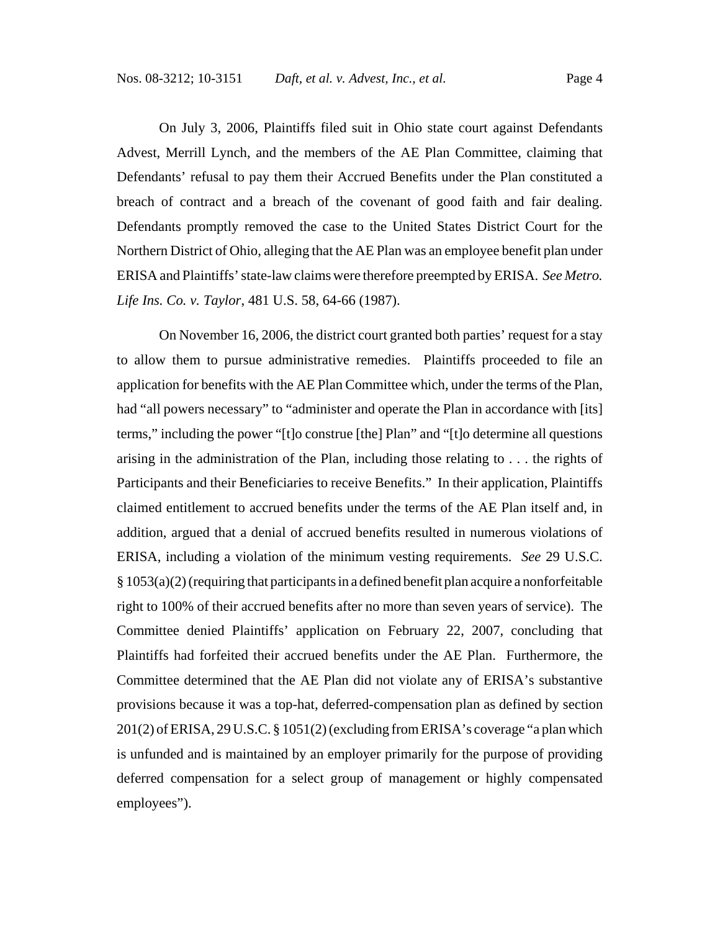On July 3, 2006, Plaintiffs filed suit in Ohio state court against Defendants Advest, Merrill Lynch, and the members of the AE Plan Committee, claiming that Defendants' refusal to pay them their Accrued Benefits under the Plan constituted a

breach of contract and a breach of the covenant of good faith and fair dealing. Defendants promptly removed the case to the United States District Court for the Northern District of Ohio, alleging that the AE Plan was an employee benefit plan under ERISA and Plaintiffs' state-law claims were therefore preempted by ERISA. *See Metro. Life Ins. Co. v. Taylor*, 481 U.S. 58, 64-66 (1987).

On November 16, 2006, the district court granted both parties' request for a stay to allow them to pursue administrative remedies. Plaintiffs proceeded to file an application for benefits with the AE Plan Committee which, under the terms of the Plan, had "all powers necessary" to "administer and operate the Plan in accordance with [its] terms," including the power "[t]o construe [the] Plan" and "[t]o determine all questions arising in the administration of the Plan, including those relating to . . . the rights of Participants and their Beneficiaries to receive Benefits." In their application, Plaintiffs claimed entitlement to accrued benefits under the terms of the AE Plan itself and, in addition, argued that a denial of accrued benefits resulted in numerous violations of ERISA, including a violation of the minimum vesting requirements. *See* 29 U.S.C.  $§ 1053(a)(2)$  (requiring that participants in a defined benefit plan acquire a nonforfeitable right to 100% of their accrued benefits after no more than seven years of service). The Committee denied Plaintiffs' application on February 22, 2007, concluding that Plaintiffs had forfeited their accrued benefits under the AE Plan. Furthermore, the Committee determined that the AE Plan did not violate any of ERISA's substantive provisions because it was a top-hat, deferred-compensation plan as defined by section 201(2) of ERISA, 29 U.S.C. § 1051(2) (excluding from ERISA's coverage "a plan which is unfunded and is maintained by an employer primarily for the purpose of providing deferred compensation for a select group of management or highly compensated employees").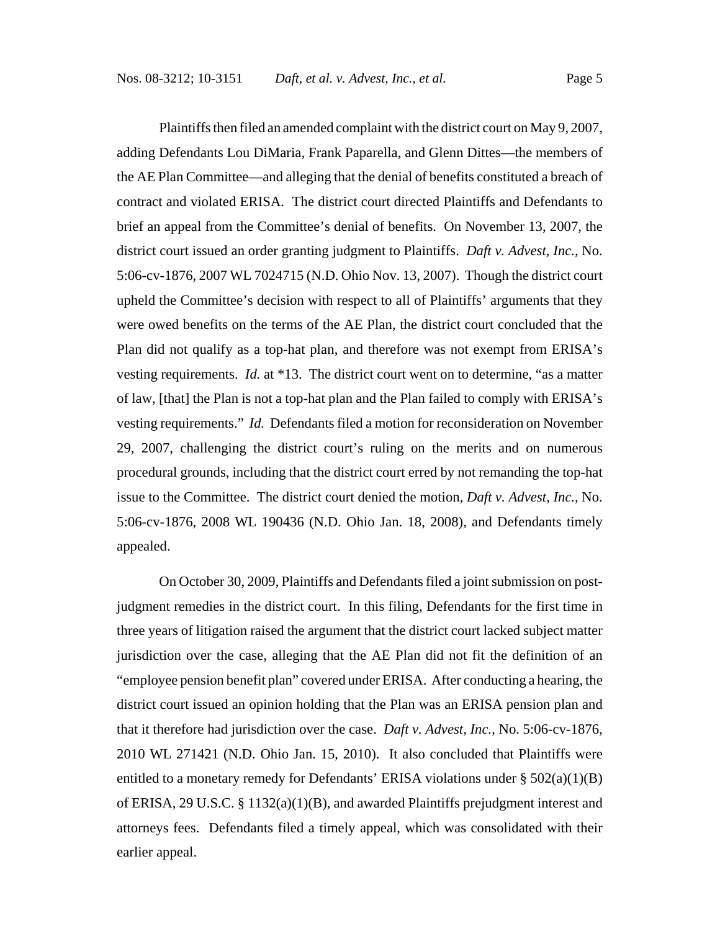Plaintiffs then filed an amended complaint with the district court on May 9, 2007, adding Defendants Lou DiMaria, Frank Paparella, and Glenn Dittes—the members of the AE Plan Committee—and alleging that the denial of benefits constituted a breach of contract and violated ERISA. The district court directed Plaintiffs and Defendants to brief an appeal from the Committee's denial of benefits. On November 13, 2007, the district court issued an order granting judgment to Plaintiffs. *Daft v. Advest, Inc.*, No. 5:06-cv-1876, 2007 WL 7024715 (N.D. Ohio Nov. 13, 2007). Though the district court upheld the Committee's decision with respect to all of Plaintiffs' arguments that they were owed benefits on the terms of the AE Plan, the district court concluded that the Plan did not qualify as a top-hat plan, and therefore was not exempt from ERISA's vesting requirements. *Id.* at \*13. The district court went on to determine, "as a matter of law, [that] the Plan is not a top-hat plan and the Plan failed to comply with ERISA's vesting requirements." *Id.* Defendants filed a motion for reconsideration on November 29, 2007, challenging the district court's ruling on the merits and on numerous procedural grounds, including that the district court erred by not remanding the top-hat issue to the Committee. The district court denied the motion, *Daft v. Advest, Inc.*, No. 5:06-cv-1876, 2008 WL 190436 (N.D. Ohio Jan. 18, 2008), and Defendants timely appealed.

On October 30, 2009, Plaintiffs and Defendants filed a joint submission on postjudgment remedies in the district court. In this filing, Defendants for the first time in three years of litigation raised the argument that the district court lacked subject matter jurisdiction over the case, alleging that the AE Plan did not fit the definition of an "employee pension benefit plan" covered under ERISA. After conducting a hearing, the district court issued an opinion holding that the Plan was an ERISA pension plan and that it therefore had jurisdiction over the case. *Daft v. Advest, Inc.*, No. 5:06-cv-1876, 2010 WL 271421 (N.D. Ohio Jan. 15, 2010). It also concluded that Plaintiffs were entitled to a monetary remedy for Defendants' ERISA violations under § 502(a)(1)(B) of ERISA, 29 U.S.C.  $\S 1132(a)(1)(B)$ , and awarded Plaintiffs prejudgment interest and attorneys fees. Defendants filed a timely appeal, which was consolidated with their earlier appeal.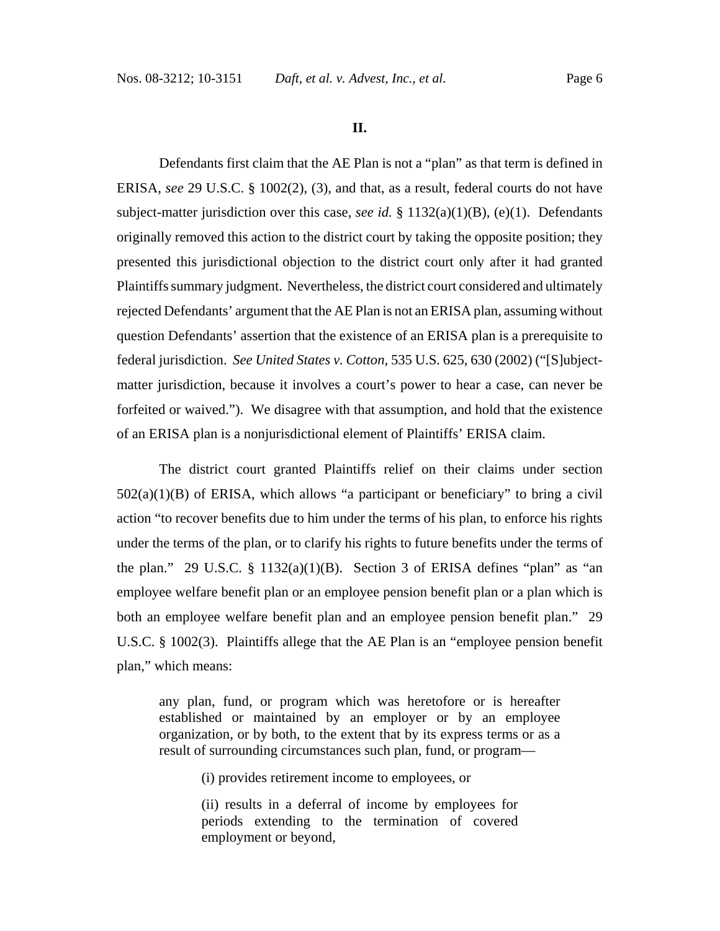**II.**

Defendants first claim that the AE Plan is not a "plan" as that term is defined in ERISA, *see* 29 U.S.C. § 1002(2), (3), and that, as a result, federal courts do not have subject-matter jurisdiction over this case, *see id.* § 1132(a)(1)(B), (e)(1). Defendants originally removed this action to the district court by taking the opposite position; they presented this jurisdictional objection to the district court only after it had granted Plaintiffs summary judgment. Nevertheless, the district court considered and ultimately rejected Defendants' argument that the AE Plan is not an ERISA plan, assuming without question Defendants' assertion that the existence of an ERISA plan is a prerequisite to federal jurisdiction. *See United States v. Cotton*, 535 U.S. 625, 630 (2002) ("[S]ubjectmatter jurisdiction, because it involves a court's power to hear a case, can never be forfeited or waived."). We disagree with that assumption, and hold that the existence of an ERISA plan is a nonjurisdictional element of Plaintiffs' ERISA claim.

The district court granted Plaintiffs relief on their claims under section  $502(a)(1)(B)$  of ERISA, which allows "a participant or beneficiary" to bring a civil action "to recover benefits due to him under the terms of his plan, to enforce his rights under the terms of the plan, or to clarify his rights to future benefits under the terms of the plan." 29 U.S.C. § 1132(a)(1)(B). Section 3 of ERISA defines "plan" as "an employee welfare benefit plan or an employee pension benefit plan or a plan which is both an employee welfare benefit plan and an employee pension benefit plan." 29 U.S.C. § 1002(3). Plaintiffs allege that the AE Plan is an "employee pension benefit plan," which means:

any plan, fund, or program which was heretofore or is hereafter established or maintained by an employer or by an employee organization, or by both, to the extent that by its express terms or as a result of surrounding circumstances such plan, fund, or program—

(i) provides retirement income to employees, or

(ii) results in a deferral of income by employees for periods extending to the termination of covered employment or beyond,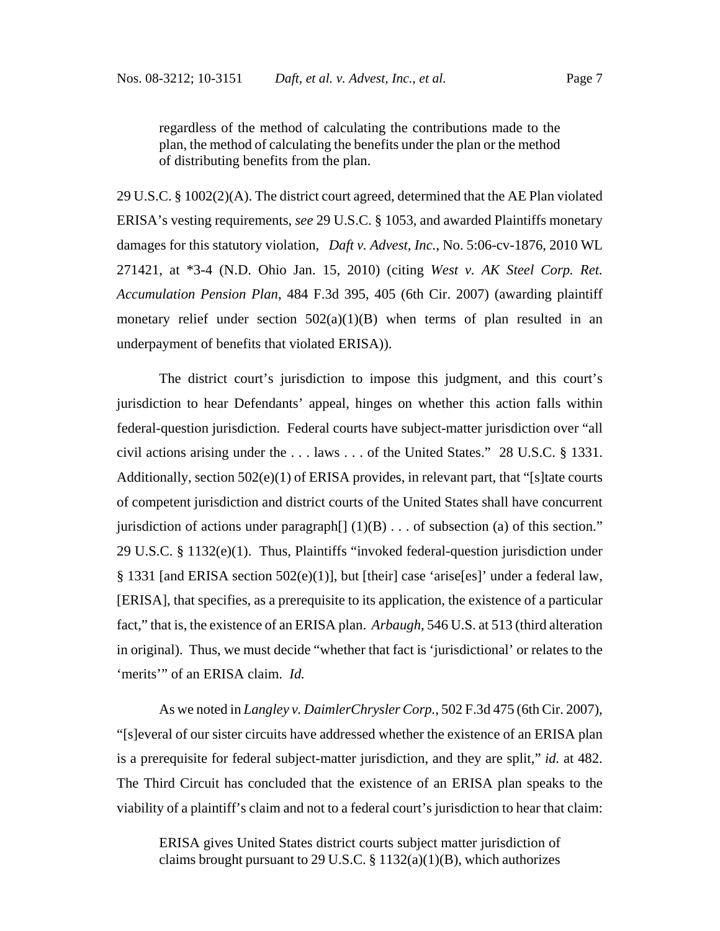regardless of the method of calculating the contributions made to the plan, the method of calculating the benefits under the plan or the method of distributing benefits from the plan.

29 U.S.C. § 1002(2)(A). The district court agreed, determined that the AE Plan violated ERISA's vesting requirements, *see* 29 U.S.C. § 1053, and awarded Plaintiffs monetary damages for this statutory violation, *Daft v. Advest, Inc.*, No. 5:06-cv-1876, 2010 WL 271421, at \*3-4 (N.D. Ohio Jan. 15, 2010) (citing *West v. AK Steel Corp. Ret. Accumulation Pension Plan*, 484 F.3d 395, 405 (6th Cir. 2007) (awarding plaintiff monetary relief under section  $502(a)(1)(B)$  when terms of plan resulted in an underpayment of benefits that violated ERISA)).

The district court's jurisdiction to impose this judgment, and this court's jurisdiction to hear Defendants' appeal, hinges on whether this action falls within federal-question jurisdiction. Federal courts have subject-matter jurisdiction over "all civil actions arising under the . . . laws . . . of the United States." 28 U.S.C. § 1331. Additionally, section 502(e)(1) of ERISA provides, in relevant part, that "[s]tate courts of competent jurisdiction and district courts of the United States shall have concurrent jurisdiction of actions under paragraph $[ (1)(B) \dots$  of subsection (a) of this section." 29 U.S.C. § 1132(e)(1). Thus, Plaintiffs "invoked federal-question jurisdiction under § 1331 [and ERISA section 502(e)(1)], but [their] case 'arise[es]' under a federal law, [ERISA], that specifies, as a prerequisite to its application, the existence of a particular fact," that is, the existence of an ERISA plan. *Arbaugh*, 546 U.S. at 513 (third alteration in original). Thus, we must decide "whether that fact is 'jurisdictional' or relates to the 'merits'" of an ERISA claim. *Id.* 

As we noted in *Langley v. DaimlerChrysler Corp.*, 502 F.3d 475 (6th Cir. 2007), "[s]everal of our sister circuits have addressed whether the existence of an ERISA plan is a prerequisite for federal subject-matter jurisdiction, and they are split," *id.* at 482. The Third Circuit has concluded that the existence of an ERISA plan speaks to the viability of a plaintiff's claim and not to a federal court's jurisdiction to hear that claim:

ERISA gives United States district courts subject matter jurisdiction of claims brought pursuant to 29 U.S.C.  $\S 1132(a)(1)(B)$ , which authorizes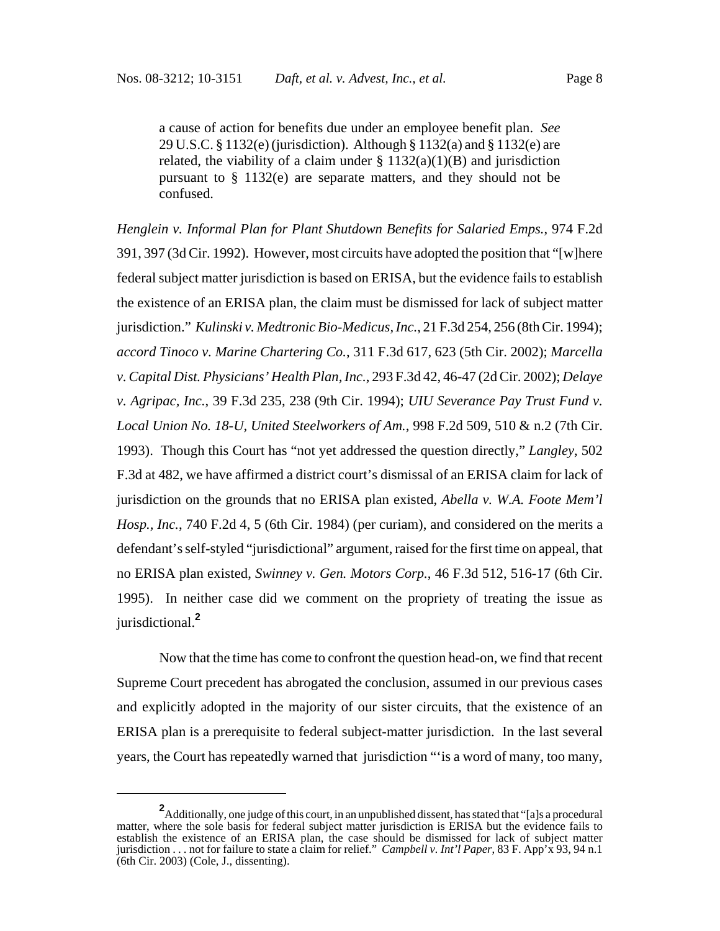a cause of action for benefits due under an employee benefit plan. *See* 29 U.S.C. § 1132(e) (jurisdiction). Although § 1132(a) and § 1132(e) are related, the viability of a claim under  $\S 1132(a)(1)(B)$  and jurisdiction pursuant to § 1132(e) are separate matters, and they should not be confused.

*Henglein v. Informal Plan for Plant Shutdown Benefits for Salaried Emps.*, 974 F.2d 391, 397 (3d Cir. 1992). However, most circuits have adopted the position that "[w]here federal subject matter jurisdiction is based on ERISA, but the evidence fails to establish the existence of an ERISA plan, the claim must be dismissed for lack of subject matter jurisdiction." *Kulinski v. Medtronic Bio-Medicus, Inc.*, 21 F.3d 254, 256 (8th Cir. 1994); *accord Tinoco v. Marine Chartering Co.*, 311 F.3d 617, 623 (5th Cir. 2002); *Marcella v. Capital Dist. Physicians' Health Plan, Inc.*, 293 F.3d 42, 46-47 (2d Cir. 2002); *Delaye v. Agripac, Inc.*, 39 F.3d 235, 238 (9th Cir. 1994); *UIU Severance Pay Trust Fund v. Local Union No. 18-U, United Steelworkers of Am.*, 998 F.2d 509, 510 & n.2 (7th Cir. 1993). Though this Court has "not yet addressed the question directly," *Langley*, 502 F.3d at 482, we have affirmed a district court's dismissal of an ERISA claim for lack of jurisdiction on the grounds that no ERISA plan existed, *Abella v. W.A. Foote Mem'l Hosp., Inc.*, 740 F.2d 4, 5 (6th Cir. 1984) (per curiam), and considered on the merits a defendant's self-styled "jurisdictional" argument, raised for the first time on appeal, that no ERISA plan existed, *Swinney v. Gen. Motors Corp.*, 46 F.3d 512, 516-17 (6th Cir. 1995). In neither case did we comment on the propriety of treating the issue as jurisdictional.**<sup>2</sup>**

Now that the time has come to confront the question head-on, we find that recent Supreme Court precedent has abrogated the conclusion, assumed in our previous cases and explicitly adopted in the majority of our sister circuits, that the existence of an ERISA plan is a prerequisite to federal subject-matter jurisdiction. In the last several years, the Court has repeatedly warned that jurisdiction "'is a word of many, too many,

**<sup>2</sup>** Additionally, one judge of this court, in an unpublished dissent, has stated that "[a]s a procedural matter, where the sole basis for federal subject matter jurisdiction is ERISA but the evidence fails to establish the existence of an ERISA plan, the case should be dismissed for lack of subject matter jurisdiction . . . not for failure to state a claim for relief." *Campbell v. Int'l Paper*, 83 F. App'x 93, 94 n.1  $(6th Cir. 2003)$  (Cole, J., dissenting).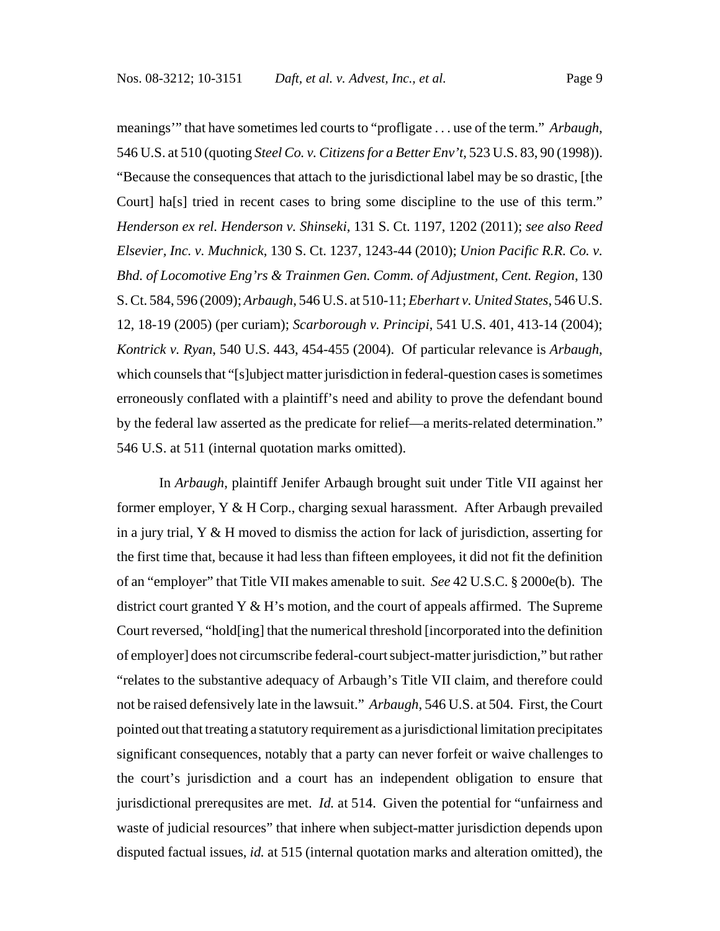meanings'" that have sometimes led courts to "profligate . . . use of the term." *Arbaugh*, 546 U.S. at 510 (quoting *Steel Co. v. Citizens for a Better Env't*, 523 U.S. 83, 90 (1998)). "Because the consequences that attach to the jurisdictional label may be so drastic, [the Court] ha[s] tried in recent cases to bring some discipline to the use of this term." *Henderson ex rel. Henderson v. Shinseki*, 131 S. Ct. 1197, 1202 (2011); *see also Reed Elsevier, Inc. v. Muchnick*, 130 S. Ct. 1237, 1243-44 (2010); *Union Pacific R.R. Co. v. Bhd. of Locomotive Eng'rs & Trainmen Gen. Comm. of Adjustment, Cent. Region*, 130 S. Ct. 584, 596 (2009); *Arbaugh*, 546 U.S. at 510-11; *Eberhart v. United States*, 546 U.S. 12, 18-19 (2005) (per curiam); *Scarborough v. Principi*, 541 U.S. 401, 413-14 (2004); *Kontrick v. Ryan*, 540 U.S. 443, 454-455 (2004). Of particular relevance is *Arbaugh*, which counsels that "[s]ubject matter jurisdiction in federal-question cases is sometimes erroneously conflated with a plaintiff's need and ability to prove the defendant bound by the federal law asserted as the predicate for relief—a merits-related determination." 546 U.S. at 511 (internal quotation marks omitted).

In *Arbaugh*, plaintiff Jenifer Arbaugh brought suit under Title VII against her former employer,  $Y \& H$  Corp., charging sexual harassment. After Arbaugh prevailed in a jury trial, Y & H moved to dismiss the action for lack of jurisdiction, asserting for the first time that, because it had less than fifteen employees, it did not fit the definition of an "employer" that Title VII makes amenable to suit. *See* 42 U.S.C. § 2000e(b). The district court granted Y & H's motion, and the court of appeals affirmed. The Supreme Court reversed, "hold[ing] that the numerical threshold [incorporated into the definition of employer] does not circumscribe federal-court subject-matter jurisdiction," but rather "relates to the substantive adequacy of Arbaugh's Title VII claim, and therefore could not be raised defensively late in the lawsuit." *Arbaugh*, 546 U.S. at 504. First, the Court pointed out that treating a statutory requirement as a jurisdictional limitation precipitates significant consequences, notably that a party can never forfeit or waive challenges to the court's jurisdiction and a court has an independent obligation to ensure that jurisdictional prerequsites are met. *Id.* at 514. Given the potential for "unfairness and waste of judicial resources" that inhere when subject-matter jurisdiction depends upon disputed factual issues, *id.* at 515 (internal quotation marks and alteration omitted), the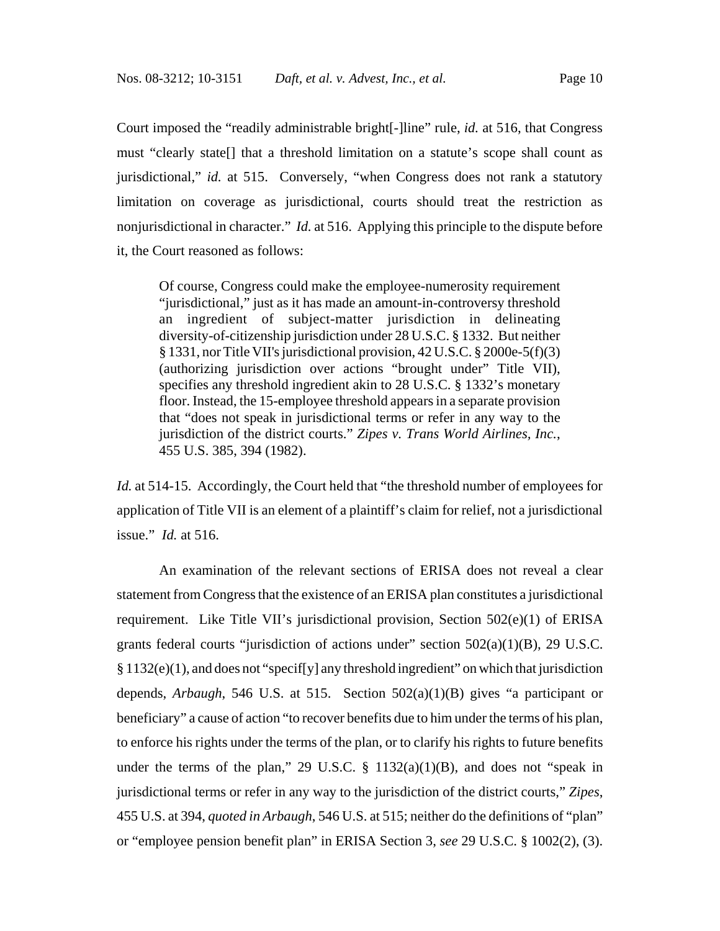Court imposed the "readily administrable bright[-]line" rule, *id.* at 516, that Congress must "clearly state[] that a threshold limitation on a statute's scope shall count as jurisdictional," *id.* at 515. Conversely, "when Congress does not rank a statutory limitation on coverage as jurisdictional, courts should treat the restriction as nonjurisdictional in character." *Id.* at 516. Applying this principle to the dispute before it, the Court reasoned as follows:

Of course, Congress could make the employee-numerosity requirement "jurisdictional," just as it has made an amount-in-controversy threshold an ingredient of subject-matter jurisdiction in delineating diversity-of-citizenship jurisdiction under 28 U.S.C. § 1332. But neither § 1331, nor Title VII's jurisdictional provision, 42 U.S.C. § 2000e-5(f)(3) (authorizing jurisdiction over actions "brought under" Title VII), specifies any threshold ingredient akin to 28 U.S.C. § 1332's monetary floor. Instead, the 15-employee threshold appears in a separate provision that "does not speak in jurisdictional terms or refer in any way to the jurisdiction of the district courts." *Zipes v. Trans World Airlines, Inc.*, 455 U.S. 385, 394 (1982).

*Id.* at 514-15. Accordingly, the Court held that "the threshold number of employees for application of Title VII is an element of a plaintiff's claim for relief, not a jurisdictional issue." *Id.* at 516.

An examination of the relevant sections of ERISA does not reveal a clear statement from Congress that the existence of an ERISA plan constitutes a jurisdictional requirement. Like Title VII's jurisdictional provision, Section 502(e)(1) of ERISA grants federal courts "jurisdiction of actions under" section 502(a)(1)(B), 29 U.S.C.  $§ 1132(e)(1)$ , and does not "specif[y] any threshold ingredient" on which that jurisdiction depends, *Arbaugh*, 546 U.S. at 515. Section 502(a)(1)(B) gives "a participant or beneficiary" a cause of action "to recover benefits due to him under the terms of his plan, to enforce his rights under the terms of the plan, or to clarify his rights to future benefits under the terms of the plan," 29 U.S.C.  $\S$  1132(a)(1)(B), and does not "speak in jurisdictional terms or refer in any way to the jurisdiction of the district courts," *Zipes*, 455 U.S. at 394, *quoted in Arbaugh*, 546 U.S. at 515; neither do the definitions of "plan" or "employee pension benefit plan" in ERISA Section 3, *see* 29 U.S.C. § 1002(2), (3).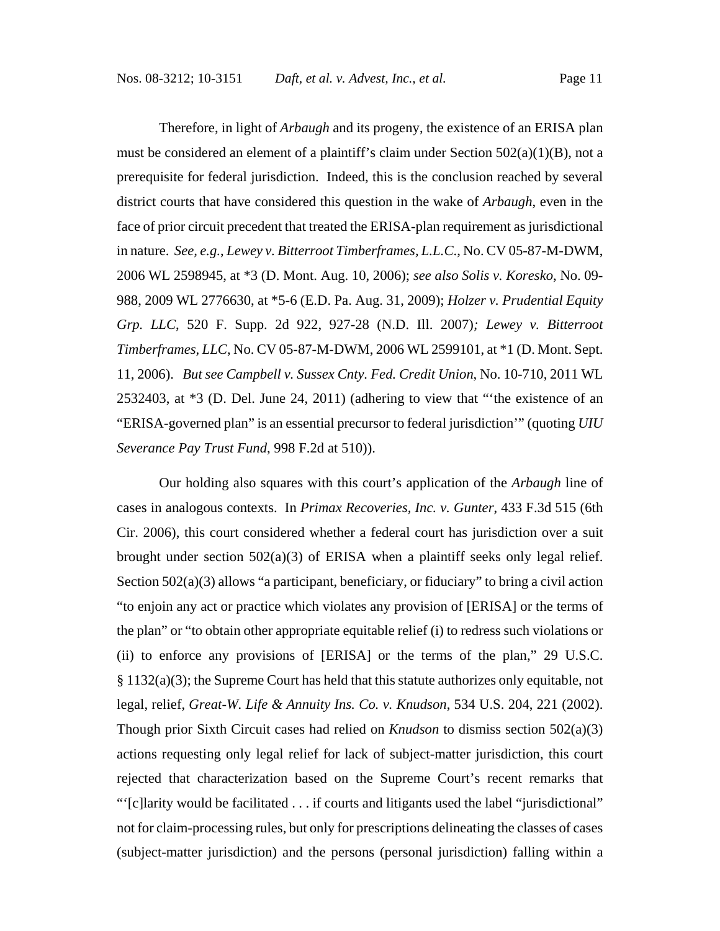Therefore, in light of *Arbaugh* and its progeny, the existence of an ERISA plan must be considered an element of a plaintiff's claim under Section  $502(a)(1)(B)$ , not a prerequisite for federal jurisdiction. Indeed, this is the conclusion reached by several district courts that have considered this question in the wake of *Arbaugh*, even in the face of prior circuit precedent that treated the ERISA-plan requirement as jurisdictional in nature. *See, e.g.*, *Lewey v. Bitterroot Timberframes, L.L.C*., No. CV 05-87-M-DWM, 2006 WL 2598945, at \*3 (D. Mont. Aug. 10, 2006); *see also Solis v. Koresko*, No. 09- 988, 2009 WL 2776630, at \*5-6 (E.D. Pa. Aug. 31, 2009); *Holzer v. Prudential Equity Grp. LLC*, 520 F. Supp. 2d 922, 927-28 (N.D. Ill. 2007)*; Lewey v. Bitterroot Timberframes, LLC*, No. CV 05-87-M-DWM, 2006 WL 2599101, at \*1 (D. Mont. Sept. 11, 2006). *But see Campbell v. Sussex Cnty. Fed. Credit Union*, No. 10-710, 2011 WL 2532403, at \*3 (D. Del. June 24, 2011) (adhering to view that "'the existence of an "ERISA-governed plan" is an essential precursor to federal jurisdiction'" (quoting *UIU Severance Pay Trust Fund*, 998 F.2d at 510)).

Our holding also squares with this court's application of the *Arbaugh* line of cases in analogous contexts. In *Primax Recoveries, Inc. v. Gunter*, 433 F.3d 515 (6th Cir. 2006), this court considered whether a federal court has jurisdiction over a suit brought under section  $502(a)(3)$  of ERISA when a plaintiff seeks only legal relief. Section 502(a)(3) allows "a participant, beneficiary, or fiduciary" to bring a civil action "to enjoin any act or practice which violates any provision of [ERISA] or the terms of the plan" or "to obtain other appropriate equitable relief (i) to redress such violations or (ii) to enforce any provisions of [ERISA] or the terms of the plan," 29 U.S.C.  $§$  1132(a)(3); the Supreme Court has held that this statute authorizes only equitable, not legal, relief, *Great-W. Life & Annuity Ins. Co. v. Knudson*, 534 U.S. 204, 221 (2002). Though prior Sixth Circuit cases had relied on *Knudson* to dismiss section 502(a)(3) actions requesting only legal relief for lack of subject-matter jurisdiction, this court rejected that characterization based on the Supreme Court's recent remarks that "'[c]larity would be facilitated . . . if courts and litigants used the label "jurisdictional" not for claim-processing rules, but only for prescriptions delineating the classes of cases (subject-matter jurisdiction) and the persons (personal jurisdiction) falling within a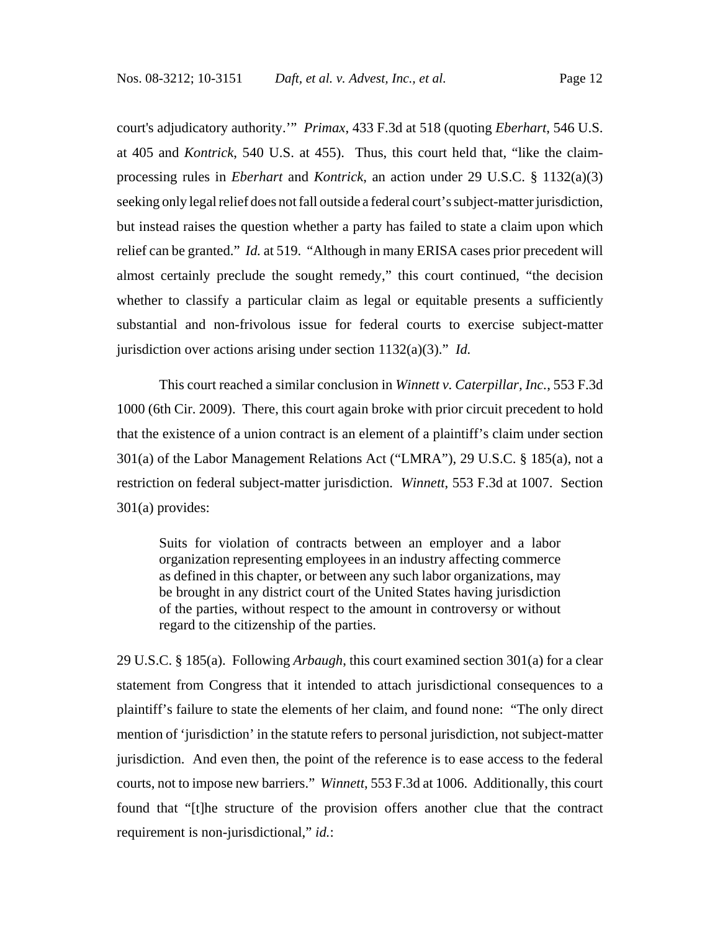court's adjudicatory authority.'" *Primax*, 433 F.3d at 518 (quoting *Eberhart*, 546 U.S. at 405 and *Kontrick*, 540 U.S. at 455). Thus, this court held that, "like the claimprocessing rules in *Eberhart* and *Kontrick*, an action under 29 U.S.C. § 1132(a)(3) seeking only legal relief does not fall outside a federal court's subject-matter jurisdiction, but instead raises the question whether a party has failed to state a claim upon which relief can be granted." *Id.* at 519. "Although in many ERISA cases prior precedent will almost certainly preclude the sought remedy," this court continued, "the decision whether to classify a particular claim as legal or equitable presents a sufficiently substantial and non-frivolous issue for federal courts to exercise subject-matter jurisdiction over actions arising under section 1132(a)(3)." *Id.*

This court reached a similar conclusion in *Winnett v. Caterpillar, Inc.*, 553 F.3d 1000 (6th Cir. 2009). There, this court again broke with prior circuit precedent to hold that the existence of a union contract is an element of a plaintiff's claim under section 301(a) of the Labor Management Relations Act ("LMRA"), 29 U.S.C. § 185(a), not a restriction on federal subject-matter jurisdiction. *Winnett*, 553 F.3d at 1007. Section 301(a) provides:

Suits for violation of contracts between an employer and a labor organization representing employees in an industry affecting commerce as defined in this chapter, or between any such labor organizations, may be brought in any district court of the United States having jurisdiction of the parties, without respect to the amount in controversy or without regard to the citizenship of the parties.

29 U.S.C. § 185(a). Following *Arbaugh*, this court examined section 301(a) for a clear statement from Congress that it intended to attach jurisdictional consequences to a plaintiff's failure to state the elements of her claim, and found none: "The only direct mention of 'jurisdiction' in the statute refers to personal jurisdiction, not subject-matter jurisdiction. And even then, the point of the reference is to ease access to the federal courts, not to impose new barriers." *Winnett*, 553 F.3d at 1006. Additionally, this court found that "[t]he structure of the provision offers another clue that the contract requirement is non-jurisdictional," *id.*: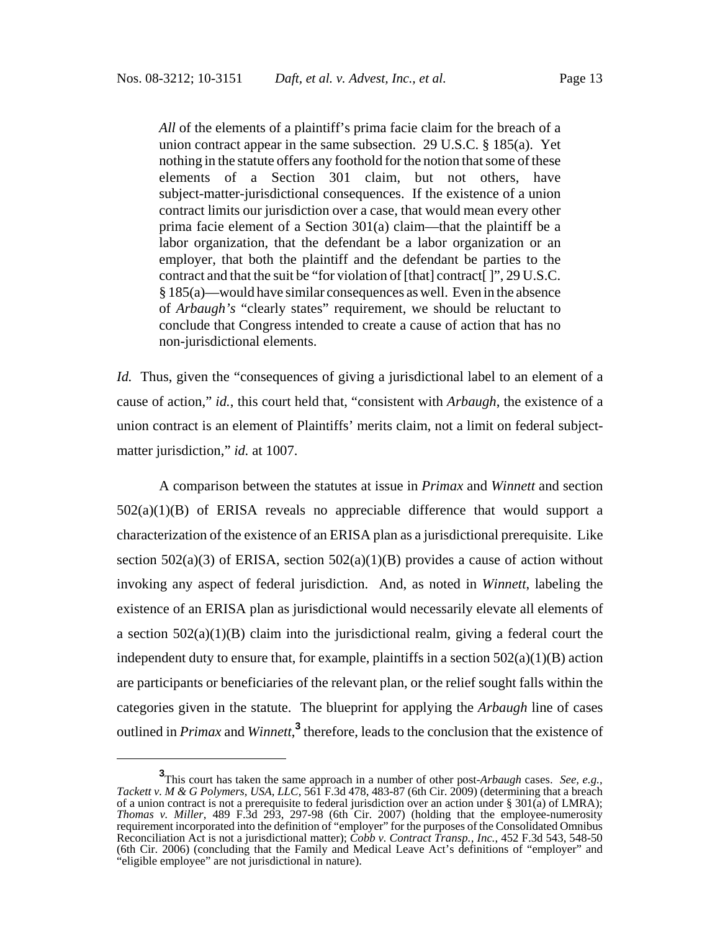*All* of the elements of a plaintiff's prima facie claim for the breach of a union contract appear in the same subsection. 29 U.S.C. § 185(a). Yet nothing in the statute offers any foothold for the notion that some of these elements of a Section 301 claim, but not others, have subject-matter-jurisdictional consequences. If the existence of a union contract limits our jurisdiction over a case, that would mean every other prima facie element of a Section 301(a) claim—that the plaintiff be a labor organization, that the defendant be a labor organization or an employer, that both the plaintiff and the defendant be parties to the contract and that the suit be "for violation of [that] contract[ ]", 29 U.S.C. § 185(a)—would have similar consequences as well. Even in the absence of *Arbaugh's* "clearly states" requirement, we should be reluctant to conclude that Congress intended to create a cause of action that has no non-jurisdictional elements.

*Id.* Thus, given the "consequences of giving a jurisdictional label to an element of a cause of action," *id.*, this court held that, "consistent with *Arbaugh*, the existence of a union contract is an element of Plaintiffs' merits claim, not a limit on federal subjectmatter jurisdiction," *id.* at 1007.

A comparison between the statutes at issue in *Primax* and *Winnett* and section  $502(a)(1)(B)$  of ERISA reveals no appreciable difference that would support a characterization of the existence of an ERISA plan as a jurisdictional prerequisite. Like section  $502(a)(3)$  of ERISA, section  $502(a)(1)(B)$  provides a cause of action without invoking any aspect of federal jurisdiction. And, as noted in *Winnett*, labeling the existence of an ERISA plan as jurisdictional would necessarily elevate all elements of a section  $502(a)(1)(B)$  claim into the jurisdictional realm, giving a federal court the independent duty to ensure that, for example, plaintiffs in a section  $502(a)(1)(B)$  action are participants or beneficiaries of the relevant plan, or the relief sought falls within the categories given in the statute. The blueprint for applying the *Arbaugh* line of cases outlined in *Primax* and *Winnett*,<sup>3</sup> therefore, leads to the conclusion that the existence of

**<sup>3</sup>**<br>This court has taken the same approach in a number of other post-*Arbaugh* cases. *See, e.g.*, *Tackett v. M & G Polymers, USA, LLC*, 561 F.3d 478, 483-87 (6th Cir. 2009) (determining that a breach of a union contract is not a prerequisite to federal jurisdiction over an action under § 301(a) of LMRA); *Thomas v. Miller*, 489 F.3d 293, 297-98 (6th Cir. 2007) (holding that the employee-numerosity requirement incorporated into the definition of "employer" for the purposes of the Consolidated Omnibus Reconciliation Act is not a jurisdictional matter); *Cobb v. Contract Transp., Inc.*, 452 F.3d 543, 548-50 (6th Cir. 2006) (concluding that the Family and Medical Leave Act's definitions of "employer" and "eligible employee" are not jurisdictional in nature).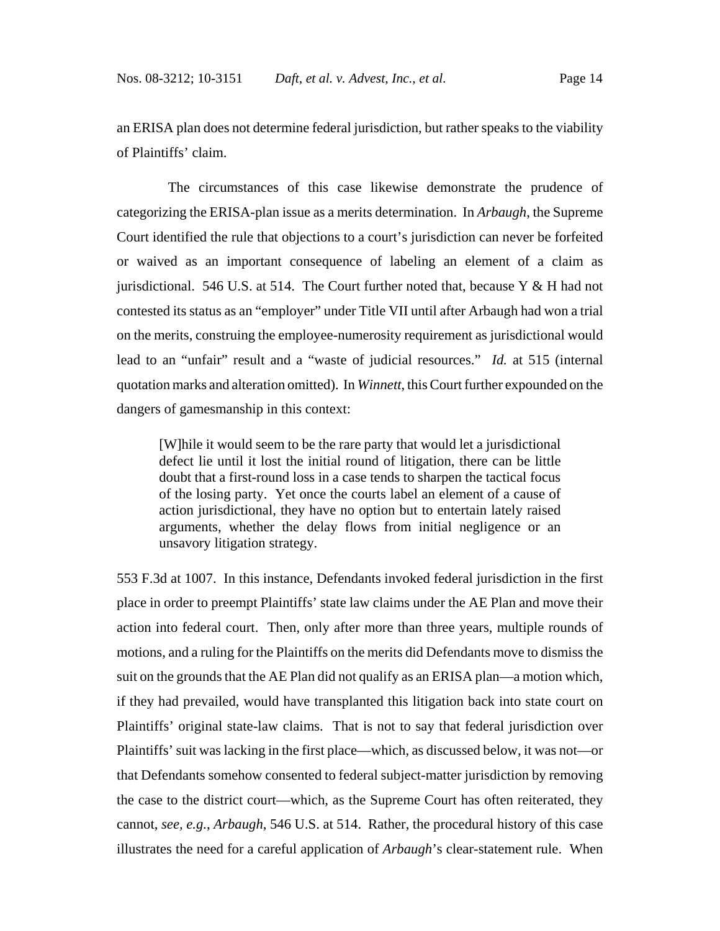an ERISA plan does not determine federal jurisdiction, but rather speaks to the viability of Plaintiffs' claim.

 The circumstances of this case likewise demonstrate the prudence of categorizing the ERISA-plan issue as a merits determination. In *Arbaugh*, the Supreme Court identified the rule that objections to a court's jurisdiction can never be forfeited or waived as an important consequence of labeling an element of a claim as jurisdictional. 546 U.S. at 514. The Court further noted that, because Y & H had not contested its status as an "employer" under Title VII until after Arbaugh had won a trial on the merits, construing the employee-numerosity requirement as jurisdictional would lead to an "unfair" result and a "waste of judicial resources." *Id.* at 515 (internal quotation marks and alteration omitted). In *Winnett*, this Court further expounded on the dangers of gamesmanship in this context:

[W]hile it would seem to be the rare party that would let a jurisdictional defect lie until it lost the initial round of litigation, there can be little doubt that a first-round loss in a case tends to sharpen the tactical focus of the losing party. Yet once the courts label an element of a cause of action jurisdictional, they have no option but to entertain lately raised arguments, whether the delay flows from initial negligence or an unsavory litigation strategy.

553 F.3d at 1007. In this instance, Defendants invoked federal jurisdiction in the first place in order to preempt Plaintiffs' state law claims under the AE Plan and move their action into federal court. Then, only after more than three years, multiple rounds of motions, and a ruling for the Plaintiffs on the merits did Defendants move to dismiss the suit on the grounds that the AE Plan did not qualify as an ERISA plan—a motion which, if they had prevailed, would have transplanted this litigation back into state court on Plaintiffs' original state-law claims. That is not to say that federal jurisdiction over Plaintiffs' suit was lacking in the first place—which, as discussed below, it was not—or that Defendants somehow consented to federal subject-matter jurisdiction by removing the case to the district court—which, as the Supreme Court has often reiterated, they cannot, *see, e.g.*, *Arbaugh*, 546 U.S. at 514. Rather, the procedural history of this case illustrates the need for a careful application of *Arbaugh*'s clear-statement rule. When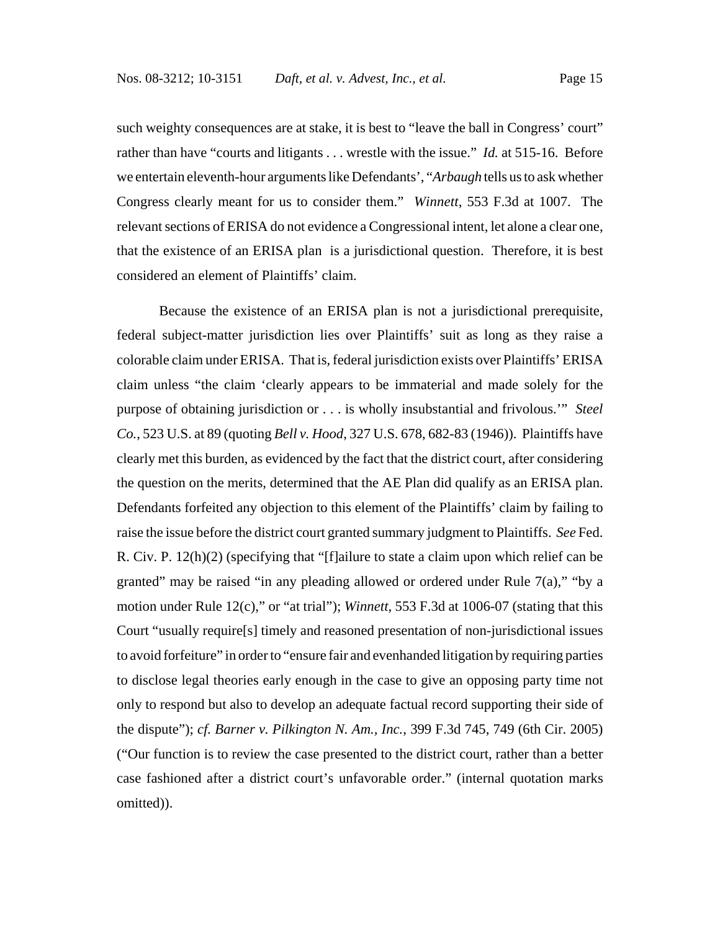such weighty consequences are at stake, it is best to "leave the ball in Congress' court" rather than have "courts and litigants . . . wrestle with the issue." *Id.* at 515-16. Before we entertain eleventh-hour arguments like Defendants', "*Arbaugh* tells us to ask whether Congress clearly meant for us to consider them." *Winnett*, 553 F.3d at 1007. The relevant sections of ERISA do not evidence a Congressional intent, let alone a clear one, that the existence of an ERISA plan is a jurisdictional question. Therefore, it is best considered an element of Plaintiffs' claim.

Because the existence of an ERISA plan is not a jurisdictional prerequisite, federal subject-matter jurisdiction lies over Plaintiffs' suit as long as they raise a colorable claim under ERISA. That is, federal jurisdiction exists over Plaintiffs' ERISA claim unless "the claim 'clearly appears to be immaterial and made solely for the purpose of obtaining jurisdiction or . . . is wholly insubstantial and frivolous.'" *Steel Co.*, 523 U.S. at 89 (quoting *Bell v. Hood*, 327 U.S. 678, 682-83 (1946)). Plaintiffs have clearly met this burden, as evidenced by the fact that the district court, after considering the question on the merits, determined that the AE Plan did qualify as an ERISA plan. Defendants forfeited any objection to this element of the Plaintiffs' claim by failing to raise the issue before the district court granted summary judgment to Plaintiffs. *See* Fed. R. Civ. P. 12(h)(2) (specifying that "[f]ailure to state a claim upon which relief can be granted" may be raised "in any pleading allowed or ordered under Rule 7(a)," "by a motion under Rule 12(c)," or "at trial"); *Winnett*, 553 F.3d at 1006-07 (stating that this Court "usually require[s] timely and reasoned presentation of non-jurisdictional issues to avoid forfeiture" in order to "ensure fair and evenhanded litigation by requiring parties to disclose legal theories early enough in the case to give an opposing party time not only to respond but also to develop an adequate factual record supporting their side of the dispute"); *cf. Barner v. Pilkington N. Am., Inc.*, 399 F.3d 745, 749 (6th Cir. 2005) ("Our function is to review the case presented to the district court, rather than a better case fashioned after a district court's unfavorable order." (internal quotation marks omitted)).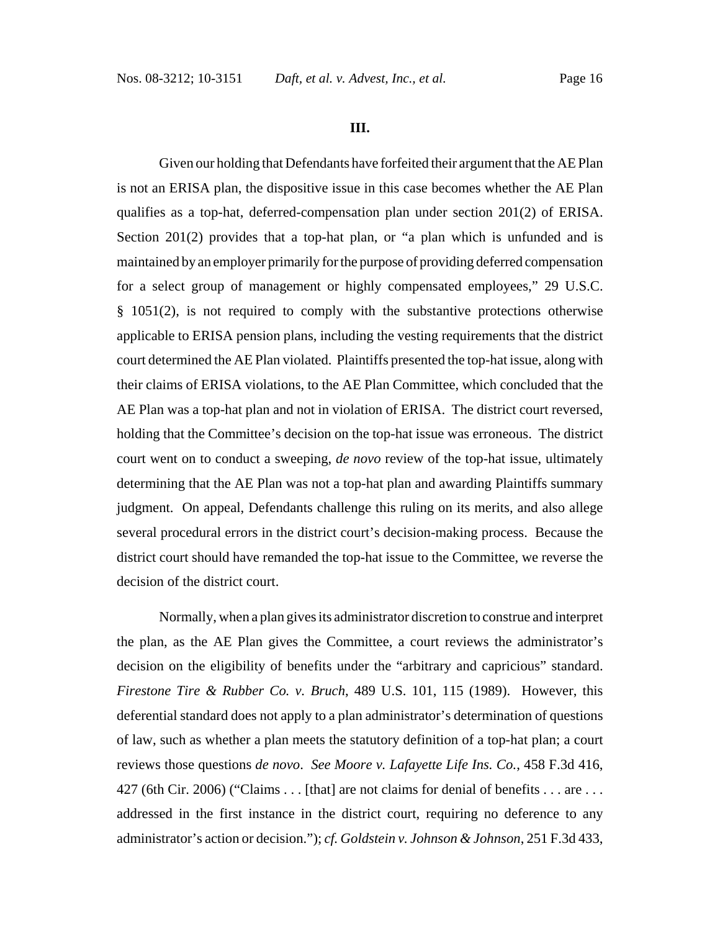#### **III.**

Given our holding that Defendants have forfeited their argument that the AE Plan is not an ERISA plan, the dispositive issue in this case becomes whether the AE Plan qualifies as a top-hat, deferred-compensation plan under section 201(2) of ERISA. Section 201(2) provides that a top-hat plan, or "a plan which is unfunded and is maintained by an employer primarily for the purpose of providing deferred compensation for a select group of management or highly compensated employees," 29 U.S.C. § 1051(2), is not required to comply with the substantive protections otherwise applicable to ERISA pension plans, including the vesting requirements that the district court determined the AE Plan violated. Plaintiffs presented the top-hat issue, along with their claims of ERISA violations, to the AE Plan Committee, which concluded that the AE Plan was a top-hat plan and not in violation of ERISA. The district court reversed, holding that the Committee's decision on the top-hat issue was erroneous. The district court went on to conduct a sweeping, *de novo* review of the top-hat issue, ultimately determining that the AE Plan was not a top-hat plan and awarding Plaintiffs summary judgment. On appeal, Defendants challenge this ruling on its merits, and also allege several procedural errors in the district court's decision-making process. Because the district court should have remanded the top-hat issue to the Committee, we reverse the decision of the district court.

Normally, when a plan gives its administrator discretion to construe and interpret the plan, as the AE Plan gives the Committee, a court reviews the administrator's decision on the eligibility of benefits under the "arbitrary and capricious" standard. *Firestone Tire & Rubber Co. v. Bruch*, 489 U.S. 101, 115 (1989). However, this deferential standard does not apply to a plan administrator's determination of questions of law, such as whether a plan meets the statutory definition of a top-hat plan; a court reviews those questions *de novo*. *See Moore v. Lafayette Life Ins. Co.*, 458 F.3d 416, 427 (6th Cir. 2006) ("Claims . . . [that] are not claims for denial of benefits . . . are . . . addressed in the first instance in the district court, requiring no deference to any administrator's action or decision."); *cf. Goldstein v. Johnson & Johnson*, 251 F.3d 433,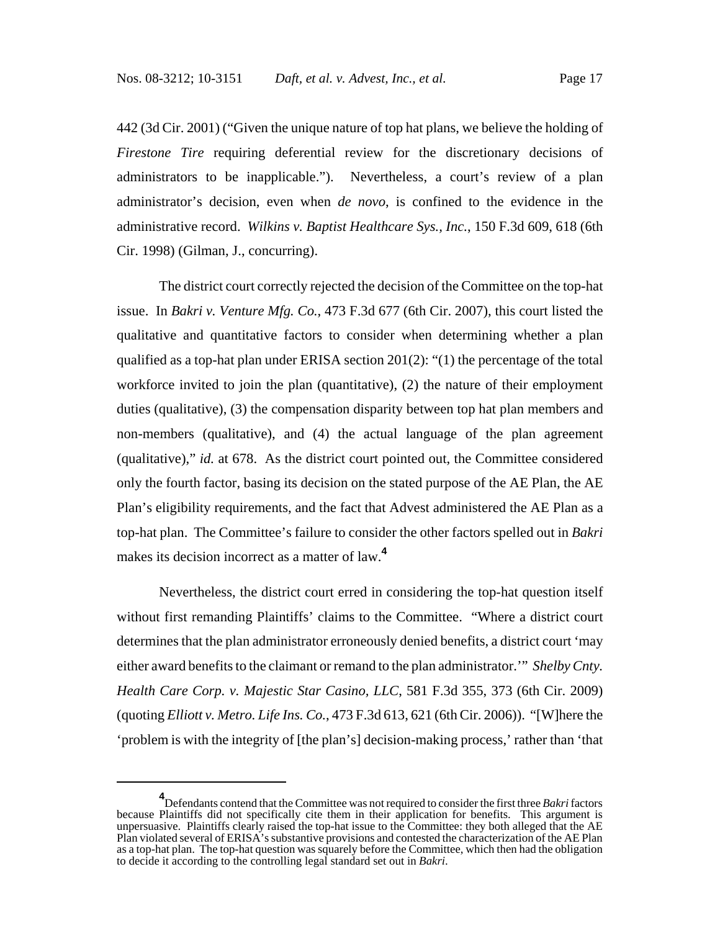442 (3d Cir. 2001) ("Given the unique nature of top hat plans, we believe the holding of *Firestone Tire* requiring deferential review for the discretionary decisions of administrators to be inapplicable."). Nevertheless, a court's review of a plan administrator's decision, even when *de novo*, is confined to the evidence in the administrative record. *Wilkins v. Baptist Healthcare Sys., Inc.*, 150 F.3d 609, 618 (6th Cir. 1998) (Gilman, J., concurring).

The district court correctly rejected the decision of the Committee on the top-hat issue. In *Bakri v. Venture Mfg. Co.*, 473 F.3d 677 (6th Cir. 2007), this court listed the qualitative and quantitative factors to consider when determining whether a plan qualified as a top-hat plan under ERISA section 201(2): "(1) the percentage of the total workforce invited to join the plan (quantitative), (2) the nature of their employment duties (qualitative), (3) the compensation disparity between top hat plan members and non-members (qualitative), and (4) the actual language of the plan agreement (qualitative)," *id.* at 678. As the district court pointed out, the Committee considered only the fourth factor, basing its decision on the stated purpose of the AE Plan, the AE Plan's eligibility requirements, and the fact that Advest administered the AE Plan as a top-hat plan. The Committee's failure to consider the other factors spelled out in *Bakri* makes its decision incorrect as a matter of law.**<sup>4</sup>**

Nevertheless, the district court erred in considering the top-hat question itself without first remanding Plaintiffs' claims to the Committee. "Where a district court determines that the plan administrator erroneously denied benefits, a district court 'may either award benefits to the claimant or remand to the plan administrator.'" *Shelby Cnty. Health Care Corp. v. Majestic Star Casino, LLC*, 581 F.3d 355, 373 (6th Cir. 2009) (quoting *Elliott v. Metro. Life Ins. Co.*, 473 F.3d 613, 621 (6th Cir. 2006)). "[W]here the 'problem is with the integrity of [the plan's] decision-making process,' rather than 'that

**<sup>4</sup>** Defendants contend that the Committee was not required to consider the first three *Bakri* factors because Plaintiffs did not specifically cite them in their application for benefits. This argument is unpersuasive. Plaintiffs clearly raised the top-hat issue to the Committee: they both alleged that the AE Plan violated several of ERISA's substantive provisions and contested the characterization of the AE Plan as a top-hat plan. The top-hat question was squarely before the Committee, which then had the obligation to decide it according to the controlling legal standard set out in *Bakri*.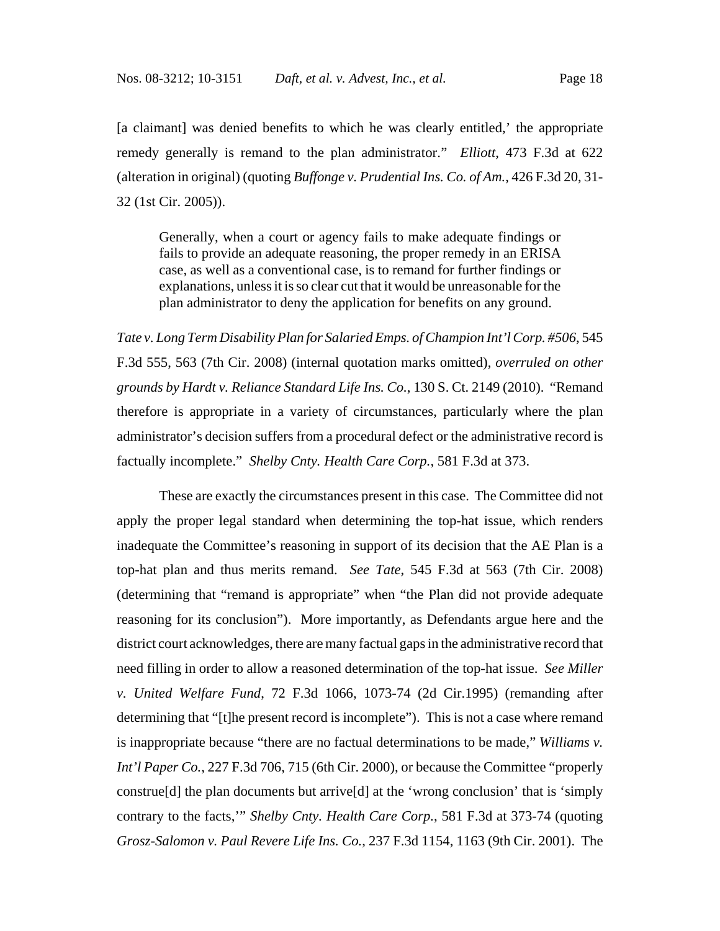[a claimant] was denied benefits to which he was clearly entitled,' the appropriate remedy generally is remand to the plan administrator." *Elliott*, 473 F.3d at 622 (alteration in original) (quoting *Buffonge v. Prudential Ins. Co. of Am.*, 426 F.3d 20, 31- 32 (1st Cir. 2005)).

Generally, when a court or agency fails to make adequate findings or fails to provide an adequate reasoning, the proper remedy in an ERISA case, as well as a conventional case, is to remand for further findings or explanations, unless it is so clear cut that it would be unreasonable for the plan administrator to deny the application for benefits on any ground.

*Tate v. Long Term Disability Plan for Salaried Emps. of Champion Int'l Corp. #506*, 545 F.3d 555, 563 (7th Cir. 2008) (internal quotation marks omitted), *overruled on other grounds by Hardt v. Reliance Standard Life Ins. Co.*, 130 S. Ct. 2149 (2010). "Remand therefore is appropriate in a variety of circumstances, particularly where the plan administrator's decision suffers from a procedural defect or the administrative record is factually incomplete." *Shelby Cnty. Health Care Corp.*, 581 F.3d at 373.

These are exactly the circumstances present in this case. The Committee did not apply the proper legal standard when determining the top-hat issue, which renders inadequate the Committee's reasoning in support of its decision that the AE Plan is a top-hat plan and thus merits remand. *See Tate*, 545 F.3d at 563 (7th Cir. 2008) (determining that "remand is appropriate" when "the Plan did not provide adequate reasoning for its conclusion"). More importantly, as Defendants argue here and the district court acknowledges, there are many factual gaps in the administrative record that need filling in order to allow a reasoned determination of the top-hat issue. *See Miller v. United Welfare Fund*, 72 F.3d 1066, 1073-74 (2d Cir.1995) (remanding after determining that "[t]he present record is incomplete"). This is not a case where remand is inappropriate because "there are no factual determinations to be made," *Williams v. Int'l Paper Co.*, 227 F.3d 706, 715 (6th Cir. 2000), or because the Committee "properly construe[d] the plan documents but arrive[d] at the 'wrong conclusion' that is 'simply contrary to the facts,'" *Shelby Cnty. Health Care Corp.*, 581 F.3d at 373-74 (quoting *Grosz-Salomon v. Paul Revere Life Ins. Co.*, 237 F.3d 1154, 1163 (9th Cir. 2001). The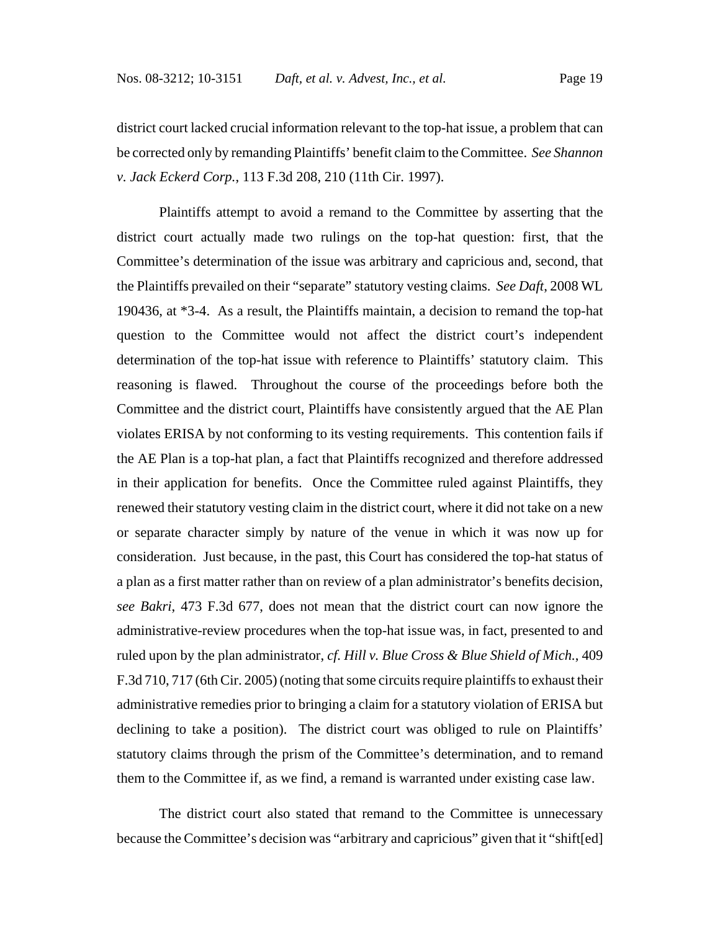district court lacked crucial information relevant to the top-hat issue, a problem that can be corrected only by remanding Plaintiffs' benefit claim to the Committee. *See Shannon v. Jack Eckerd Corp.*, 113 F.3d 208, 210 (11th Cir. 1997).

Plaintiffs attempt to avoid a remand to the Committee by asserting that the district court actually made two rulings on the top-hat question: first, that the Committee's determination of the issue was arbitrary and capricious and, second, that the Plaintiffs prevailed on their "separate" statutory vesting claims. *See Daft*, 2008 WL 190436, at \*3-4. As a result, the Plaintiffs maintain, a decision to remand the top-hat question to the Committee would not affect the district court's independent determination of the top-hat issue with reference to Plaintiffs' statutory claim. This reasoning is flawed. Throughout the course of the proceedings before both the Committee and the district court, Plaintiffs have consistently argued that the AE Plan violates ERISA by not conforming to its vesting requirements. This contention fails if the AE Plan is a top-hat plan, a fact that Plaintiffs recognized and therefore addressed in their application for benefits. Once the Committee ruled against Plaintiffs, they renewed their statutory vesting claim in the district court, where it did not take on a new or separate character simply by nature of the venue in which it was now up for consideration. Just because, in the past, this Court has considered the top-hat status of a plan as a first matter rather than on review of a plan administrator's benefits decision, *see Bakri*, 473 F.3d 677, does not mean that the district court can now ignore the administrative-review procedures when the top-hat issue was, in fact, presented to and ruled upon by the plan administrator, *cf. Hill v. Blue Cross & Blue Shield of Mich.*, 409 F.3d 710, 717 (6th Cir. 2005) (noting that some circuits require plaintiffs to exhaust their administrative remedies prior to bringing a claim for a statutory violation of ERISA but declining to take a position). The district court was obliged to rule on Plaintiffs' statutory claims through the prism of the Committee's determination, and to remand them to the Committee if, as we find, a remand is warranted under existing case law.

The district court also stated that remand to the Committee is unnecessary because the Committee's decision was "arbitrary and capricious" given that it "shift[ed]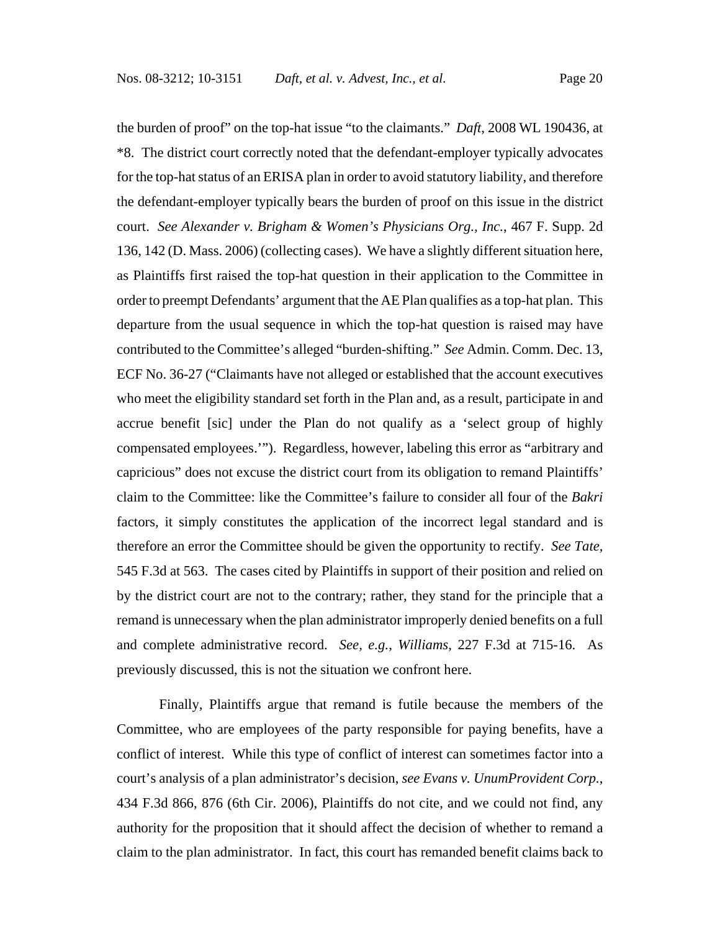the burden of proof" on the top-hat issue "to the claimants." *Daft*, 2008 WL 190436, at \*8. The district court correctly noted that the defendant-employer typically advocates for the top-hat status of an ERISA plan in order to avoid statutory liability, and therefore the defendant-employer typically bears the burden of proof on this issue in the district court. *See Alexander v. Brigham & Women's Physicians Org., Inc.*, 467 F. Supp. 2d 136, 142 (D. Mass. 2006) (collecting cases). We have a slightly different situation here, as Plaintiffs first raised the top-hat question in their application to the Committee in order to preempt Defendants' argument that the AE Plan qualifies as a top-hat plan. This departure from the usual sequence in which the top-hat question is raised may have contributed to the Committee's alleged "burden-shifting." *See* Admin. Comm. Dec. 13, ECF No. 36-27 ("Claimants have not alleged or established that the account executives who meet the eligibility standard set forth in the Plan and, as a result, participate in and accrue benefit [sic] under the Plan do not qualify as a 'select group of highly compensated employees.'"). Regardless, however, labeling this error as "arbitrary and capricious" does not excuse the district court from its obligation to remand Plaintiffs' claim to the Committee: like the Committee's failure to consider all four of the *Bakri* factors, it simply constitutes the application of the incorrect legal standard and is therefore an error the Committee should be given the opportunity to rectify. *See Tate*, 545 F.3d at 563. The cases cited by Plaintiffs in support of their position and relied on by the district court are not to the contrary; rather, they stand for the principle that a remand is unnecessary when the plan administrator improperly denied benefits on a full and complete administrative record. *See, e.g.*, *Williams*, 227 F.3d at 715-16. As previously discussed, this is not the situation we confront here.

Finally, Plaintiffs argue that remand is futile because the members of the Committee, who are employees of the party responsible for paying benefits, have a conflict of interest. While this type of conflict of interest can sometimes factor into a court's analysis of a plan administrator's decision, *see Evans v. UnumProvident Corp.*, 434 F.3d 866, 876 (6th Cir. 2006), Plaintiffs do not cite, and we could not find, any authority for the proposition that it should affect the decision of whether to remand a claim to the plan administrator. In fact, this court has remanded benefit claims back to